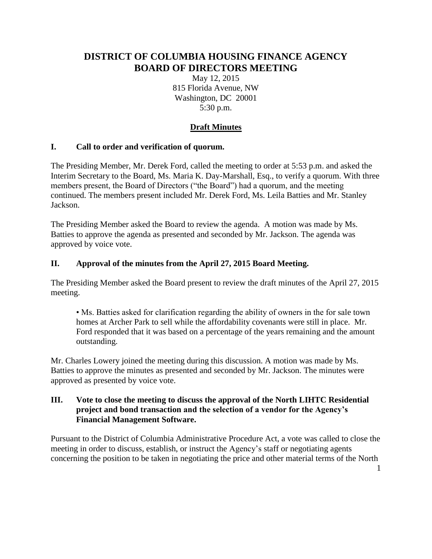# **DISTRICT OF COLUMBIA HOUSING FINANCE AGENCY BOARD OF DIRECTORS MEETING**

May 12, 2015 815 Florida Avenue, NW Washington, DC 20001 5:30 p.m.

# **Draft Minutes**

### **I. Call to order and verification of quorum.**

The Presiding Member, Mr. Derek Ford, called the meeting to order at 5:53 p.m. and asked the Interim Secretary to the Board, Ms. Maria K. Day-Marshall, Esq., to verify a quorum. With three members present, the Board of Directors ("the Board") had a quorum, and the meeting continued. The members present included Mr. Derek Ford, Ms. Leila Batties and Mr. Stanley Jackson.

The Presiding Member asked the Board to review the agenda. A motion was made by Ms. Batties to approve the agenda as presented and seconded by Mr. Jackson. The agenda was approved by voice vote.

### **II. Approval of the minutes from the April 27, 2015 Board Meeting.**

The Presiding Member asked the Board present to review the draft minutes of the April 27, 2015 meeting.

• Ms. Batties asked for clarification regarding the ability of owners in the for sale town homes at Archer Park to sell while the affordability covenants were still in place. Mr. Ford responded that it was based on a percentage of the years remaining and the amount outstanding.

Mr. Charles Lowery joined the meeting during this discussion. A motion was made by Ms. Batties to approve the minutes as presented and seconded by Mr. Jackson. The minutes were approved as presented by voice vote.

### **III. Vote to close the meeting to discuss the approval of the North LIHTC Residential project and bond transaction and the selection of a vendor for the Agency's Financial Management Software.**

Pursuant to the District of Columbia Administrative Procedure Act, a vote was called to close the meeting in order to discuss, establish, or instruct the Agency's staff or negotiating agents concerning the position to be taken in negotiating the price and other material terms of the North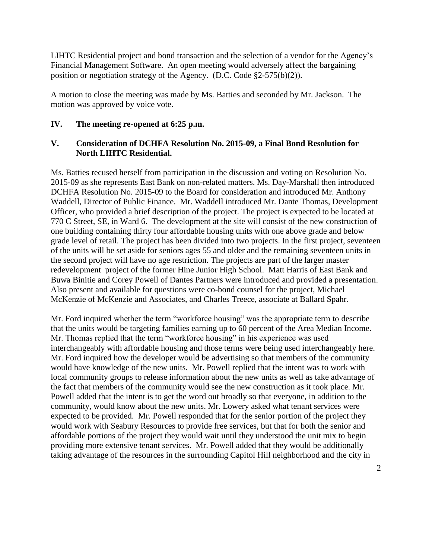LIHTC Residential project and bond transaction and the selection of a vendor for the Agency's Financial Management Software. An open meeting would adversely affect the bargaining position or negotiation strategy of the Agency. (D.C. Code §2-575(b)(2)).

A motion to close the meeting was made by Ms. Batties and seconded by Mr. Jackson. The motion was approved by voice vote.

### **IV. The meeting re-opened at 6:25 p.m.**

### **V. Consideration of DCHFA Resolution No. 2015-09, a Final Bond Resolution for North LIHTC Residential.**

Ms. Batties recused herself from participation in the discussion and voting on Resolution No. 2015-09 as she represents East Bank on non-related matters. Ms. Day-Marshall then introduced DCHFA Resolution No. 2015-09 to the Board for consideration and introduced Mr. Anthony Waddell, Director of Public Finance. Mr. Waddell introduced Mr. Dante Thomas, Development Officer, who provided a brief description of the project. The project is expected to be located at 770 C Street, SE, in Ward 6. The development at the site will consist of the new construction of one building containing thirty four affordable housing units with one above grade and below grade level of retail. The project has been divided into two projects. In the first project, seventeen of the units will be set aside for seniors ages 55 and older and the remaining seventeen units in the second project will have no age restriction. The projects are part of the larger master redevelopment project of the former Hine Junior High School. Matt Harris of East Bank and Buwa Binitie and Corey Powell of Dantes Partners were introduced and provided a presentation. Also present and available for questions were co-bond counsel for the project, Michael McKenzie of McKenzie and Associates, and Charles Treece, associate at Ballard Spahr.

Mr. Ford inquired whether the term "workforce housing" was the appropriate term to describe that the units would be targeting families earning up to 60 percent of the Area Median Income. Mr. Thomas replied that the term "workforce housing" in his experience was used interchangeably with affordable housing and those terms were being used interchangeably here. Mr. Ford inquired how the developer would be advertising so that members of the community would have knowledge of the new units. Mr. Powell replied that the intent was to work with local community groups to release information about the new units as well as take advantage of the fact that members of the community would see the new construction as it took place. Mr. Powell added that the intent is to get the word out broadly so that everyone, in addition to the community, would know about the new units. Mr. Lowery asked what tenant services were expected to be provided. Mr. Powell responded that for the senior portion of the project they would work with Seabury Resources to provide free services, but that for both the senior and affordable portions of the project they would wait until they understood the unit mix to begin providing more extensive tenant services. Mr. Powell added that they would be additionally taking advantage of the resources in the surrounding Capitol Hill neighborhood and the city in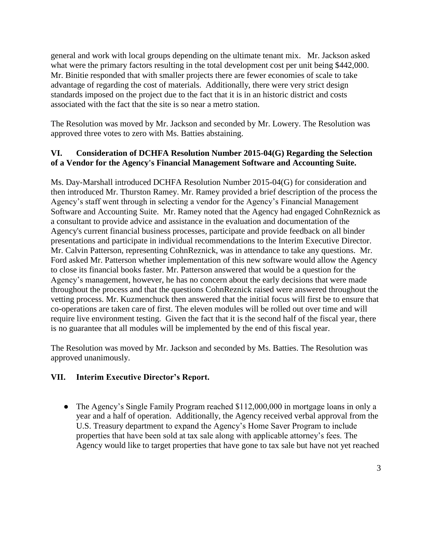general and work with local groups depending on the ultimate tenant mix. Mr. Jackson asked what were the primary factors resulting in the total development cost per unit being \$442,000. Mr. Binitie responded that with smaller projects there are fewer economies of scale to take advantage of regarding the cost of materials. Additionally, there were very strict design standards imposed on the project due to the fact that it is in an historic district and costs associated with the fact that the site is so near a metro station.

The Resolution was moved by Mr. Jackson and seconded by Mr. Lowery. The Resolution was approved three votes to zero with Ms. Batties abstaining.

## **VI. Consideration of DCHFA Resolution Number 2015-04(G) Regarding the Selection of a Vendor for the Agency's Financial Management Software and Accounting Suite.**

Ms. Day-Marshall introduced DCHFA Resolution Number 2015-04(G) for consideration and then introduced Mr. Thurston Ramey. Mr. Ramey provided a brief description of the process the Agency's staff went through in selecting a vendor for the Agency's Financial Management Software and Accounting Suite. Mr. Ramey noted that the Agency had engaged CohnReznick as a consultant to provide advice and assistance in the evaluation and documentation of the Agency's current financial business processes, participate and provide feedback on all binder presentations and participate in individual recommendations to the Interim Executive Director. Mr. Calvin Patterson, representing CohnReznick, was in attendance to take any questions. Mr. Ford asked Mr. Patterson whether implementation of this new software would allow the Agency to close its financial books faster. Mr. Patterson answered that would be a question for the Agency's management, however, he has no concern about the early decisions that were made throughout the process and that the questions CohnReznick raised were answered throughout the vetting process. Mr. Kuzmenchuck then answered that the initial focus will first be to ensure that co-operations are taken care of first. The eleven modules will be rolled out over time and will require live environment testing. Given the fact that it is the second half of the fiscal year, there is no guarantee that all modules will be implemented by the end of this fiscal year.

The Resolution was moved by Mr. Jackson and seconded by Ms. Batties. The Resolution was approved unanimously.

# **VII. Interim Executive Director's Report.**

● The Agency's Single Family Program reached \$112,000,000 in mortgage loans in only a year and a half of operation. Additionally, the Agency received verbal approval from the U.S. Treasury department to expand the Agency's Home Saver Program to include properties that have been sold at tax sale along with applicable attorney's fees. The Agency would like to target properties that have gone to tax sale but have not yet reached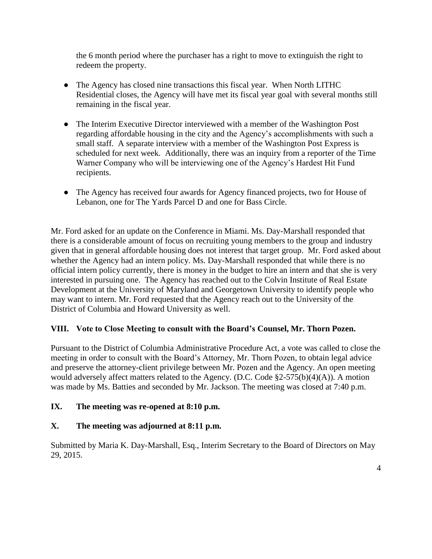the 6 month period where the purchaser has a right to move to extinguish the right to redeem the property.

- The Agency has closed nine transactions this fiscal year. When North LITHC Residential closes, the Agency will have met its fiscal year goal with several months still remaining in the fiscal year.
- The Interim Executive Director interviewed with a member of the Washington Post regarding affordable housing in the city and the Agency's accomplishments with such a small staff. A separate interview with a member of the Washington Post Express is scheduled for next week. Additionally, there was an inquiry from a reporter of the Time Warner Company who will be interviewing one of the Agency's Hardest Hit Fund recipients.
- The Agency has received four awards for Agency financed projects, two for House of Lebanon, one for The Yards Parcel D and one for Bass Circle.

Mr. Ford asked for an update on the Conference in Miami. Ms. Day-Marshall responded that there is a considerable amount of focus on recruiting young members to the group and industry given that in general affordable housing does not interest that target group. Mr. Ford asked about whether the Agency had an intern policy. Ms. Day-Marshall responded that while there is no official intern policy currently, there is money in the budget to hire an intern and that she is very interested in pursuing one. The Agency has reached out to the Colvin Institute of Real Estate Development at the University of Maryland and Georgetown University to identify people who may want to intern. Mr. Ford requested that the Agency reach out to the University of the District of Columbia and Howard University as well.

### **VIII. Vote to Close Meeting to consult with the Board's Counsel, Mr. Thorn Pozen.**

Pursuant to the District of Columbia Administrative Procedure Act, a vote was called to close the meeting in order to consult with the Board's Attorney, Mr. Thorn Pozen, to obtain legal advice and preserve the attorney-client privilege between Mr. Pozen and the Agency. An open meeting would adversely affect matters related to the Agency. (D.C. Code §2-575(b)(4)(A)). A motion was made by Ms. Batties and seconded by Mr. Jackson. The meeting was closed at 7:40 p.m.

### **IX. The meeting was re-opened at 8:10 p.m.**

# **X. The meeting was adjourned at 8:11 p.m.**

Submitted by Maria K. Day-Marshall, Esq., Interim Secretary to the Board of Directors on May 29, 2015.